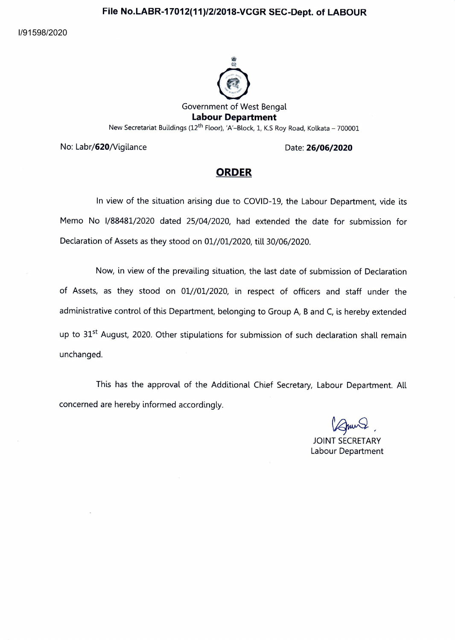# **File No.LABR-17012(11)/2/2018-VCGR SEC-Dept. of LABOUR**

I/91598/2020



No: Labr/620/Vigilance Date: **26/06/2020** 

### **ORDER**

In view of the situation arising due to COVID-19, the Labour Department, vide its Memo No 1/88481/2020 dated 25/04/2020, had extended the date for submission for Declaration of Assets as they stood on 01//01/2020, till 30/06/2020.

Now, in view of the prevailing situation, the last date of submission of Declaration of Assets, as they stood on 01//01/2020, in respect of officers and staff under the administrative control of this Department, belonging to Group A, B and C, is hereby extended up to 31<sup>st</sup> August, 2020. Other stipulations for submission of such declaration shall remain unchanged.

This has the approval of the Additional Chief Secretary, Labour Department. All<br>
dependence accordingly.<br>
Figure 2<br>
JOINT SECRETARY<br>
Labour Department concerned are hereby informed accordingly.

JOINT SECRETARY Labour Department